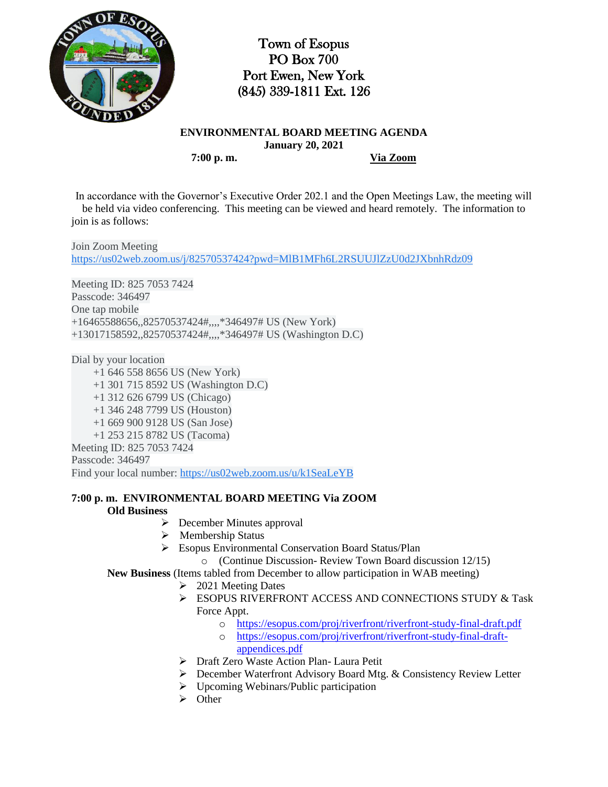

Town of Esopus PO Box 700 Port Ewen, New York (845) 339-1811 Ext. 126

**ENVIRONMENTAL BOARD MEETING AGENDA January 20, 2021 7:00 p. m. Via Zoom**

In accordance with the Governor's Executive Order 202.1 and the Open Meetings Law, the meeting will be held via video conferencing. This meeting can be viewed and heard remotely. The information to join is as follows:

Join Zoom Meeting [https://us02web.zoom.us/j/82570537424?pwd=MlB1MFh6L2RSUUJlZzU0d2JXbnhRdz09](https://www.google.com/url?q=https://us02web.zoom.us/j/82570537424?pwd%3DMlB1MFh6L2RSUUJlZzU0d2JXbnhRdz09&sa=D&source=calendar&ust=1611502152387000&usg=AOvVaw0Vp8BQSe0RS1-y9brOck8W)

Meeting ID: 825 7053 7424 Passcode: 346497 One tap mobile +16465588656,,82570537424#,,,,\*346497# US (New York) +13017158592,,82570537424#,,,,\*346497# US (Washington D.C)

Dial by your location

 +1 646 558 8656 US (New York) +1 301 715 8592 US (Washington D.C) +1 312 626 6799 US (Chicago) +1 346 248 7799 US (Houston) +1 669 900 9128 US (San Jose) +1 253 215 8782 US (Tacoma) Meeting ID: 825 7053 7424 Passcode: 346497 Find your local number: [https://us02web.zoom.us/u/k1SeaLeYB](https://www.google.com/url?q=https://us02web.zoom.us/u/k1SeaLeYB&sa=D&source=calendar&ust=1611502152387000&usg=AOvVaw0_XrgXITMSMDcOoAY_W9qu)

**7:00 p. m. ENVIRONMENTAL BOARD MEETING Via ZOOM**

## **Old Business**

- $\triangleright$  December Minutes approval
- $\triangleright$  Membership Status
- Esopus Environmental Conservation Board Status/Plan
	- o (Continue Discussion- Review Town Board discussion 12/15)

**New Business** (Items tabled from December to allow participation in WAB meeting)

- $\geq 2021$  Meeting Dates
	- ESOPUS RIVERFRONT ACCESS AND CONNECTIONS STUDY & Task Force Appt.
		- o <https://esopus.com/proj/riverfront/riverfront-study-final-draft.pdf>
		- o [https://esopus.com/proj/riverfront/riverfront-study-final-draft](https://esopus.com/proj/riverfront/riverfront-study-final-draft-appendices.pdf)[appendices.pdf](https://esopus.com/proj/riverfront/riverfront-study-final-draft-appendices.pdf)
	- Draft Zero Waste Action Plan- Laura Petit
	- December Waterfront Advisory Board Mtg. & Consistency Review Letter
	- $\triangleright$  Upcoming Webinars/Public participation
	- $\triangleright$  Other